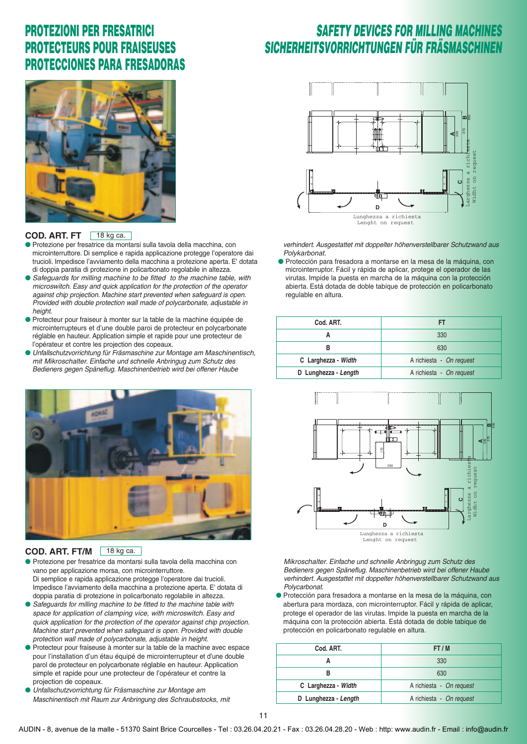### *SAFETY DEVICES FOR MILLING MACHINES SICHERHEITSVORRICHTUNGEN FÜR FRÄSMASCHINEN*



#### **COD. ART. FT**  $18$  kg ca.

- **●** Protezione per fresatrice da montarsi sulla tavola della macchina, con microinterruttore. Di semplice e rapida applicazione protegge l'operatore dai trucioli. Impedisce l'avviamento della macchina a protezione aperta. E' dotata di doppia paratia di protezione in policarbonato regolabile in altezza.
- Safeguards for milling machine to be fitted to the machine table, with microswitch. Easy and quick application for the protection of the operator against chip projection. Machine start prevented when safeguard is open. Provided with double protection wall made of polycarbonate, adjustable in height.
- **●** Protecteur pour fraiseur à monter sur la table de la machine équipée de microinterrupteurs et d'une double paroi de protecteur en polycarbonate réglable en hauteur. Application simple et rapide pour une protecteur de l'opérateur et contre les projection des copeaux.
- **●** Unfallschutzvorrichtung für Fräsmaschine zur Montage am Maschinentisch, mit Mikroschalter. Einfache und schnelle Anbringug zum Schutz des Bedieners gegen Späneflug. Maschinenbetrieb wird bei offener Haube



#### **COD. ART. FT/M** 18 kg ca.

- **●** Protezione per fresatrice da montarsi sulla tavola della macchina con vano per applicazione morsa, con microinterruttore. Di semplice e rapida applicazione protegge l'operatore dai trucioli. Impedisce l'avviamento della macchina a protezione aperta. E' dotata di doppia paratia di protezione in policarbonato regolabile in altezza.
- Safeguards for milling machine to be fitted to the machine table with space for application of clamping vice, with microswitch. Easy and quick application for the protection of the operator against chip projection. Machine start prevented when safeguard is open. Provided with double protection wall made of polycarbonate, adjustable in height.
- **●** Protecteur pour fraiseuse à monter sur la table de la machine avec espace pour l'installation d'un étau équipé de microinterrupteur et d'une double parol de protecteur en polycarbonate réglable en hauteur. Application simple et rapide pour une protecteur de l'opérateur et contre la projection de copeaux.
- **●** Unfallschutzvorrichtung für Fräsmaschine zur Montage am Maschinentisch mit Raum zur Anbringung des Schraubstocks, mit



verhindert. Ausgestattet mit doppelter höhenverstellbarer Schutzwand aus Polykarbonat.

**●** Protección para fresadora a montarse en la mesa de la máquina, con microinterruptor. Fácil y rápida de aplicar, protege el operador de las virutas. Impide la puesta en marcha de la máquina con la protección abierta. Está dotada de doble tabique de protección en policarbonato regulable en altura.

| Cod. ART.            | FT                       |  |  |  |
|----------------------|--------------------------|--|--|--|
|                      | 330                      |  |  |  |
|                      | 630                      |  |  |  |
| C Larghezza - Width  | A richiesta - On request |  |  |  |
| D Lunghezza - Length | A richiesta - On request |  |  |  |



Mikroschalter. Einfache und schnelle Anbringug zum Schutz des Bedieners gegen Späneflug. Maschinenbetrieb wird bei offener Haube verhindert. Ausgestattet mit doppelter höhenverstellbarer Schutzwand aus Polycarbonat.

**●** Protección para fresadora a montarse en la mesa de la máquina, con abertura para mordaza, con microinterruptor. Fácil y rápida de aplicar, protege el operador de las virutas. Impide la puesta en marcha de la máquina con la protección abierta. Está dotada de doble tabique de protección en policarbonato regulable en altura.

| Cod. ART.            | FT/M                     |  |  |  |
|----------------------|--------------------------|--|--|--|
|                      | 330                      |  |  |  |
|                      | 630                      |  |  |  |
| C Larghezza - Width  | A richiesta - On request |  |  |  |
| D Lunghezza - Length | A richiesta - On request |  |  |  |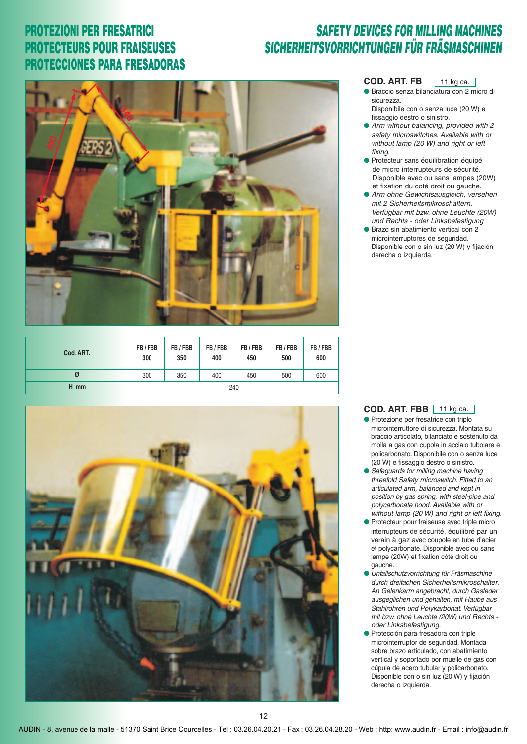### *SAFETY DEVICES FOR MILLING MACHINES SICHERHEITSVORRICHTUNGEN FÜR FRÄSMASCHINEN*



| Cod. ART. | FB/FBB<br>300 | FB/FBB<br>350 | FB/FBB<br>400 | FB/FBB<br>450 | FB/FBB<br>500 | FB/FBB<br>600 |
|-----------|---------------|---------------|---------------|---------------|---------------|---------------|
| Ø         | 300           | 350           | 400           | 450           | 500           | 600           |
| H mm      | 240           |               |               |               |               |               |



#### **COD. ART. FB**  $11$  kg ca.

- **●** Braccio senza bilanciatura con 2 micro di sicurezza. Disponibile con o senza luce (20 W) e
- fissaggio destro o sinistro. **●** Arm without balancing, provided with 2
- safety microswitches. Available with or without lamp (20 W) and right or left fixing.
- **●** Protecteur sans équilibration équipé de micro interrupteurs de sécurité. Disponible avec ou sans lampes (20W) et fixation du coté droit ou gauche.
- **●** Arm ohne Gewichtsausgleich, versehen mit 2 Sicherheitsmikroschaltern. Verfügbar mit bzw. ohne Leuchte (20W) und Rechts - oder Linksbefestigung
- Brazo sin abatimiento vertical con 2 microinterruptores de seguridad. Disponible con o sin luz (20 W) y fijación derecha o izquierda.

#### **COD. ART. FBB** 11 kg ca.

- **●** Protezione per fresatrice con triplo microinterruttore di sicurezza. Montata su braccio articolato, bilanciato e sostenuto da molla a gas con cupola in acciaio tubolare e policarbonato. Disponibile con o senza luce (20 W) e fissaggio destro o sinistro.
- Safeguards for milling machine having threefold Safety microswitch. Fitted to an articulated arm, balanced and kept in position by gas spring, with steel-pipe and polycarbonate hood. Available with or without lamp (20 W) and right or left fixing.
- **●** Protecteur pour fraiseuse avec triple micro interrupteurs de sécurité, équilibré par un verain à gaz avec coupole en tube d'acier et polycarbonate. Disponible avec ou sans lampe (20W) et fixation côté droit ou gauche.
- **●** Unfallschutzvorrichtung für Fräsmaschine durch dreifachen Sicherheitsmikroschalter. An Gelenkarm angebracht, durch Gasfeder ausgeglichen und gehalten, mit Haube aus Stahlrohren und Polykarbonat. Verfügbar mit bzw. ohne Leuchte (20W) und Rechts oder Linksbefestigung.
- **●** Protección para fresadora con triple microinterruptor de seguridad. Montada sobre brazo articulado, con abatimiento vertical y soportado por muelle de gas con cúpula de acero tubular y policarbonato. Disponible con o sin luz (20 W) y fijación derecha o izquierda.

AUDIN - 8, avenue de la malle - 51370 Saint Brice Courcelles - Tel : 03.26.04.20.21 - Fax : 03.26.04.28.20 - Web : http: www.audin.fr - Email : info@audin.fr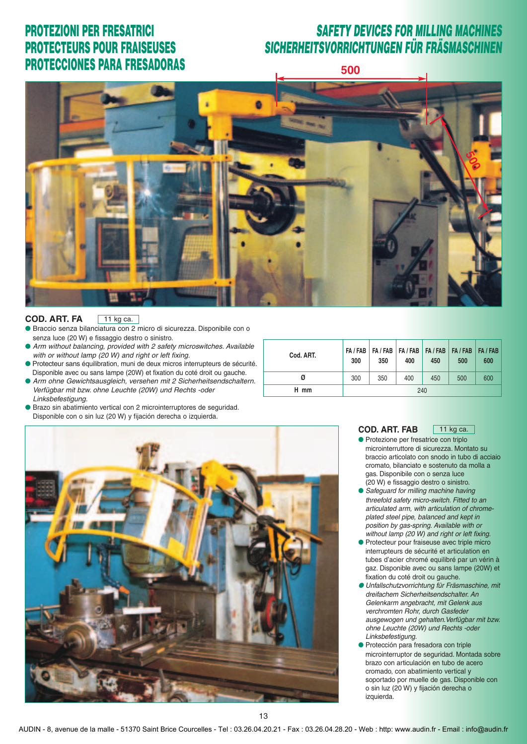#### *SAFETY DEVICES FOR MILLING MACHINES SICHERHEITSVORRICHTUNGEN FÜR FRÄSMASCHINEN*

**500**



#### **COD. ART. FA**  $11$  kg ca.

- **●** Braccio senza bilanciatura con 2 micro di sicurezza. Disponibile con o senza luce (20 W) e fissaggio destro o sinistro.
- Arm without balancing, provided with 2 safety microswitches. Available with or without lamp (20 W) and right or left fixing.
- **●** Protecteur sans équilibration, muni de deux micros interrupteurs de sécurité. Disponible avec ou sans lampe (20W) et fixation du coté droit ou gauche.
- **●** Arm ohne Gewichtsausgleich, versehen mit 2 Sicherheitsendschaltern. Verfügbar mit bzw. ohne Leuchte (20W) und Rechts -oder Linksbefestigung.
- Brazo sin abatimiento vertical con 2 microinterruptores de seguridad. Disponible con o sin luz (20 W) y fijación derecha o izquierda.

| Cod. ART. | 300 | FA / FAB   FA / FAB   FA / FAB   FA / FAB   FA / FAB   FA / FAB<br>350 | 400 | 450 | 500 | 600 |
|-----------|-----|------------------------------------------------------------------------|-----|-----|-----|-----|
| Ø         | 300 | 350                                                                    | 400 | 450 | 500 | 600 |
| H mm      | 240 |                                                                        |     |     |     |     |



 $11$  kg ca.

- **●** Protezione per fresatrice con triplo microinterruttore di sicurezza. Montato su braccio articolato con snodo in tubo di acciaio cromato, bilanciato e sostenuto da molla a gas. Disponibile con o senza luce (20 W) e fissaggio destro o sinistro.
- Safeguard for milling machine having threefold safety micro-switch. Fitted to an articulated arm, with articulation of chromeplated steel pipe, balanced and kept in position by gas-spring. Available with or without lamp (20 W) and right or left fixing.
- **●** Protecteur pour fraiseuse avec triple micro interrupteurs de sécurité et articulation en tubes d'acier chromé equilibré par un vérin à gaz. Disponible avec ou sans lampe (20W) et fixation du coté droit ou gauche.
- **●** Unfallschutzvorrichtung für Fräsmaschine, mit dreifachem Sicherheitsendschalter. An Gelenkarm angebracht, mit Gelenk aus verchromten Rohr, durch Gasfeder ausgewogen und gehalten.Verfügbar mit bzw. ohne Leuchte (20W) und Rechts -oder Linksbefestigung.
- **●** Protección para fresadora con triple microinterruptor de seguridad. Montada sobre brazo con articulación en tubo de acero cromado, con abatimiento vertical y soportado por muelle de gas. Disponible con o sin luz (20 W) y fijación derecha o izquierda.



13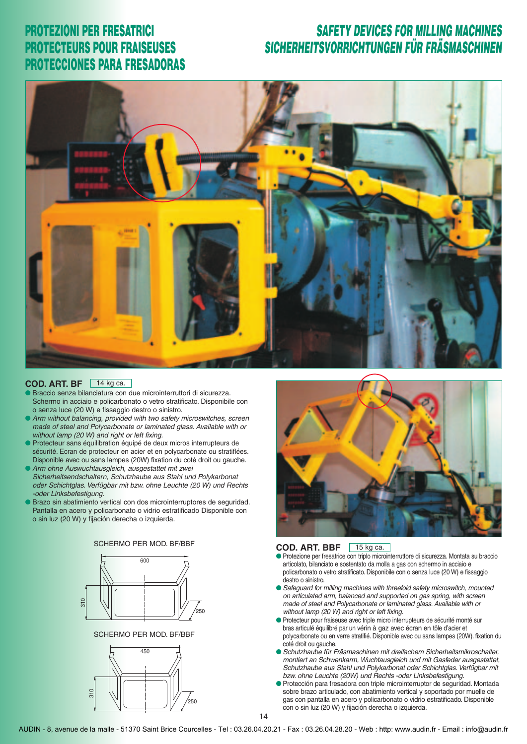#### *SAFETY DEVICES FOR MILLING MACHINES SICHERHEITSVORRICHTUNGEN FÜR FRÄSMASCHINEN*



#### **COD. ART. BF** 14 kg ca.

- **Braccio senza bilanciatura con due microinterruttori di sicurezza.** Schermo in acciaio e policarbonato o vetro stratificato. Disponibile con o senza luce (20 W) e fissaggio destro o sinistro.
- **●** Arm without balancing, provided with two safety microswitches, screen made of steel and Polycarbonate or laminated glass. Available with or without lamp (20 W) and right or left fixing.
- **●** Protecteur sans équilibration équipé de deux micros interrupteurs de sécurité. Ecran de protecteur en acier et en polycarbonate ou stratiflées. Disponible avec ou sans lampes (20W) fixation du coté droit ou gauche. **●** Arm ohne Auswuchtausgleich, ausgestattet mit zwei
- Sicherheitsendschaltern, Schutzhaube aus Stahl und Polykarbonat oder Schichtglas. Verfügbar mit bzw. ohne Leuchte (20 W) und Rechts -oder Linksbefestigung.
- Brazo sin abatimiento vertical con dos microinterruptores de seguridad. Pantalla en acero y policarbonato o vidrio estratificado Disponible con o sin luz (20 W) y fijación derecha o izquierda.



SCHERMO PER MOD. BF/BBF





#### **COD. ART. BBF** 15 kg ca.

- Protezione per fresatrice con triplo microinterruttore di sicurezza. Montata su braccio articolato, bilanciato e sostentato da molla a gas con schermo in acciaio e 450 policarbonato o vetro stratificato. Disponibile con o senza luce (20 W) e fissaggio destro o sinistro.
- **●** Safeguard for milling machines with threefold safety microswitch, mounted on articulated arm, balanced and supported on gas spring, with screen made of steel and Polycarbonate or laminated glass. Available with or without lamp (20 W) and right or left fixing. 250 250
	- **●** Protecteur pour fraiseuse avec triple micro interrupteurs de sécurité monté sur bras articulé équilibré par un vérin à gaz avec écran en tôle d'acier et polycarbonate ou en verre stratifié. Disponible avec ou sans lampes (20W). fixation du coté droit ou gauche.
	- **●** Schutzhaube für Fräsmaschinen mit dreifachem Sicherheitsmikroschalter, montiert an Schwenkarm, Wuchtausgleich und mit Gasfeder ausgestattet, Schutzhaube aus Stahl und Polykarbonat oder Schichtglas. Verfügbar mit bzw. ohne Leuchte (20W) und Rechts -oder Linksbefestigung.
	- **●** Protección para fresadora con triple microinterruptor de seguridad. Montada sobre brazo articulado, con abatimiento vertical y soportado por muelle de gas con pantalla en acero y policarbonato o vidrio estratificado. Disponible con o sin luz (20 W) y fijación derecha o izquierda.
- AUDIN 8, avenue de la malle 51370 Saint Brice Courcelles Tel : 03.26.04.20.21 Fax : 03.26.04.28.20 Web : http: www.audin.fr Email : info@audin.fr

14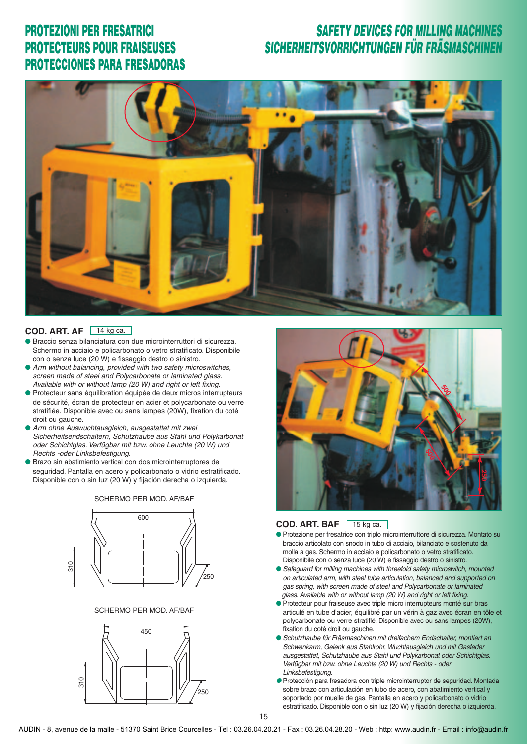### *SAFETY DEVICES FOR MILLING MACHINES SICHERHEITSVORRICHTUNGEN FÜR FRÄSMASCHINEN*



#### **COD. ART. AF** 14 kg ca.

- **●** Braccio senza bilanciatura con due microinterruttori di sicurezza. Schermo in acciaio e policarbonato o vetro stratificato. Disponibile con o senza luce (20 W) e fissaggio destro o sinistro.
- **●** Arm without balancing, provided with two safety microswitches, screen made of steel and Polycarbonate or laminated glass. Available with or without lamp (20 W) and right or left fixing.
- **●** Protecteur sans équilibration équipée de deux micros interrupteurs de sécurité, écran de protecteur en acier et polycarbonate ou verre stratifiée. Disponible avec ou sans lampes (20W), fixation du coté droit ou gauche.
- **●** Arm ohne Auswuchtausgleich, ausgestattet mit zwei Sicherheitsendschaltern, Schutzhaube aus Stahl und Polykarbonat oder Schichtglas. Verfügbar mit bzw. ohne Leuchte (20 W) und Rechts -oder Linksbefestigung.
- **●** Brazo sin abatimiento vertical con dos microinterruptores de seguridad. Pantalla en acero y policarbonato o vidrio estratificado. Disponible con o sin luz (20 W) y fijación derecha o izquierda.





#### SCHERMO PER MOD. AF/BAF





#### **COD. ART. BAF** 15 kg ca.

- **●** Protezione per fresatrice con triplo microinterruttore di sicurezza. Montato su braccio articolato con snodo in tubo di acciaio, bilanciato e sostenuto da molla a gas. Schermo in acciaio e policarbonato o vetro stratificato. Disponibile con o senza luce (20 W) e fissaggio destro o sinistro.
- **●** Safeguard for milling machines with threefold safety microswitch, mounted on articulated arm, with steel tube articulation, balanced and supported on 250 250 gas spring, with screen made of steel and Polycarbonate or laminated glass. Available with or without lamp (20 W) and right or left fixing.
	- **●** Protecteur pour fraiseuse avec triple micro interrupteurs monté sur bras articulé en tube d'acier, équilibré par un vérin à gaz avec écran en tôle et polycarbonate ou verre stratiflé. Disponible avec ou sans lampes (20W), fixation du coté droit ou gauche.
	- Schutzhaube für Fräsmaschinen mit dreifachem Endschalter, montiert an Schwenkarm, Gelenk aus Stahlrohr, Wuchtausgleich und mit Gasfeder ausgestattet, Schutzhaube aus Stahl und Polykarbonat oder Schichtglas. Verfügbar mit bzw. ohne Leuchte (20 W) und Rechts - oder Linksbefestigung.
	- **●** Protección para fresadora con triple microinterruptor de seguridad. Montada sobre brazo con articulación en tubo de acero, con abatimiento vertical y soportado por muelle de gas. Pantalla en acero y policarbonato o vidrio estratificado. Disponible con o sin luz (20 W) y fijación derecha o izquierda.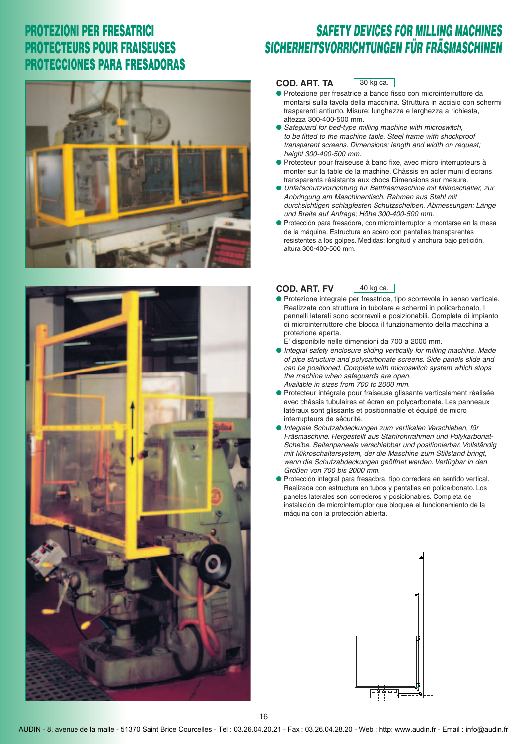

### *SAFETY DEVICES FOR MILLING MACHINES SICHERHEITSVORRICHTUNGEN FÜR FRÄSMASCHINEN*

#### **COD. ART. TA** 30 kg ca.

- **●** Protezione per fresatrice a banco fisso con microinterruttore da montarsi sulla tavola della macchina. Struttura in acciaio con schermi trasparenti antiurto. Misure: lunghezza e larghezza a richiesta, altezza 300-400-500 mm.
- **●** Safeguard for bed-type milling machine with microswitch, to be fitted to the machine table. Steel frame with shockproof transparent screens. Dimensions: length and width on request; height 300-400-500 mm.
- **●** Protecteur pour fraiseuse à banc fixe, avec micro interrupteurs à monter sur la table de la machine. Chàssis en acler muni d'ecrans transparents résistants aux chocs Dimensions sur mesure.
- **●** Unfallschutzvorrichtung für Bettfräsmaschine mit Mikroschalter, zur Anbringung am Maschinentisch. Rahmen aus Stahl mit durchsichtigen schlagfesten Schutzscheiben. Abmessungen: Länge und Breite auf Anfrage; Höhe 300-400-500 mm.
- **●** Protección para fresadora, con microinterruptor a montarse en la mesa de la máquina. Estructura en acero con pantallas transparentes resistentes a los golpes. Medidas: longitud y anchura bajo petición, altura 300-400-500 mm.



#### **COD. ART. FV** 40 kg ca.

- **●** Protezione integrale per fresatrice, tipo scorrevole in senso verticale. Realizzata con struttura in tubolare e schermi in policarbonato. I pannelli laterali sono scorrevoli e posizionabili. Completa di impianto di microinterruttore che blocca il funzionamento della macchina a protezione aperta.
- E' disponibile nelle dimensioni da 700 a 2000 mm.
- **●** Integral safety enclosure sliding vertically for milling machine. Made of pipe structure and polycarbonate screens. Side panels slide and can be positioned. Complete with microswitch system which stops the machine when safeguards are open. Available in sizes from 700 to 2000 mm.
- **●** Protecteur intégrale pour fraiseuse glissante verticalement réalisée avec châssis tubulaires et écran en polycarbonate. Les panneaux latéraux sont glissants et positionnable et équipé de micro interrupteurs de sécurité.
- **●** Integrale Schutzabdeckungen zum vertikalen Verschieben, für Fräsmaschine. Hergestellt aus Stahlrohrrahmen und Polykarbonat-Scheibe. Seitenpaneele verschiebbar und positionierbar. Vollständig mit Mikroschaltersystem, der die Maschine zum Stillstand bringt, wenn die Schutzabdeckungen geöffnet werden. Verfügbar in den Größen von 700 bis 2000 mm.
- **●** Protección integral para fresadora, tipo corredera en sentido vertical. Realizada con estructura en tubos y pantallas en policarbonato. Los paneles laterales son correderos y posicionables. Completa de instalación de microinterruptor que bloquea el funcionamiento de la máquina con la protección abierta.